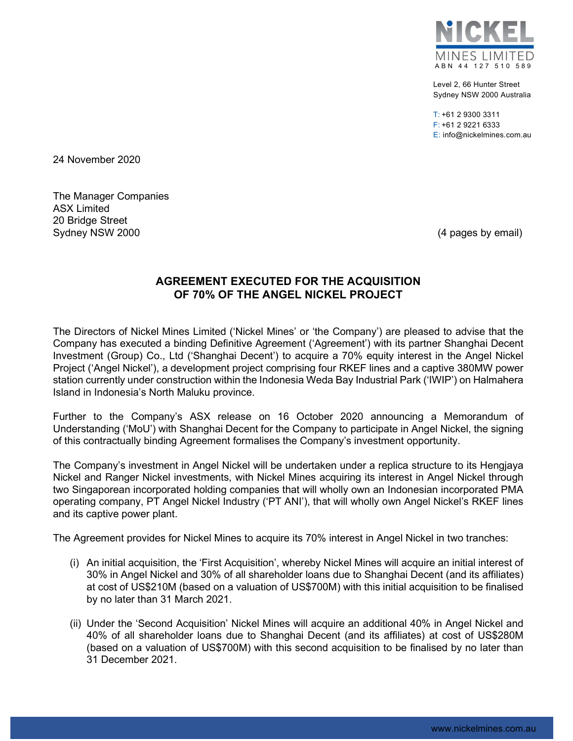

Level 2, 66 Hunter Street Sydney NSW 2000 Australia

 $T: +61$  2 9300 3311 F: +61 2 9221 6333 E: info@nickelmines.com.au

24 November 2020

The Manager Companies ASX Limited 20 Bridge Street Sydney NSW 2000 **(4 pages by email)** Sydney NSW 2000

# AGREEMENT EXECUTED FOR THE ACQUISITION OF 70% OF THE ANGEL NICKEL PROJECT

The Directors of Nickel Mines Limited ('Nickel Mines' or 'the Company') are pleased to advise that the Company has executed a binding Definitive Agreement ('Agreement') with its partner Shanghai Decent Investment (Group) Co., Ltd ('Shanghai Decent') to acquire a 70% equity interest in the Angel Nickel Project ('Angel Nickel'), a development project comprising four RKEF lines and a captive 380MW power station currently under construction within the Indonesia Weda Bay Industrial Park ('IWIP') on Halmahera Island in Indonesia's North Maluku province.

Further to the Company's ASX release on 16 October 2020 announcing a Memorandum of Understanding ('MoU') with Shanghai Decent for the Company to participate in Angel Nickel, the signing of this contractually binding Agreement formalises the Company's investment opportunity.

The Company's investment in Angel Nickel will be undertaken under a replica structure to its Hengjaya Nickel and Ranger Nickel investments, with Nickel Mines acquiring its interest in Angel Nickel through two Singaporean incorporated holding companies that will wholly own an Indonesian incorporated PMA operating company, PT Angel Nickel Industry ('PT ANI'), that will wholly own Angel Nickel's RKEF lines and its captive power plant.

The Agreement provides for Nickel Mines to acquire its 70% interest in Angel Nickel in two tranches:

- (i) An initial acquisition, the 'First Acquisition', whereby Nickel Mines will acquire an initial interest of 30% in Angel Nickel and 30% of all shareholder loans due to Shanghai Decent (and its affiliates) at cost of US\$210M (based on a valuation of US\$700M) with this initial acquisition to be finalised by no later than 31 March 2021.
- (ii) Under the 'Second Acquisition' Nickel Mines will acquire an additional 40% in Angel Nickel and 40% of all shareholder loans due to Shanghai Decent (and its affiliates) at cost of US\$280M (based on a valuation of US\$700M) with this second acquisition to be finalised by no later than 31 December 2021.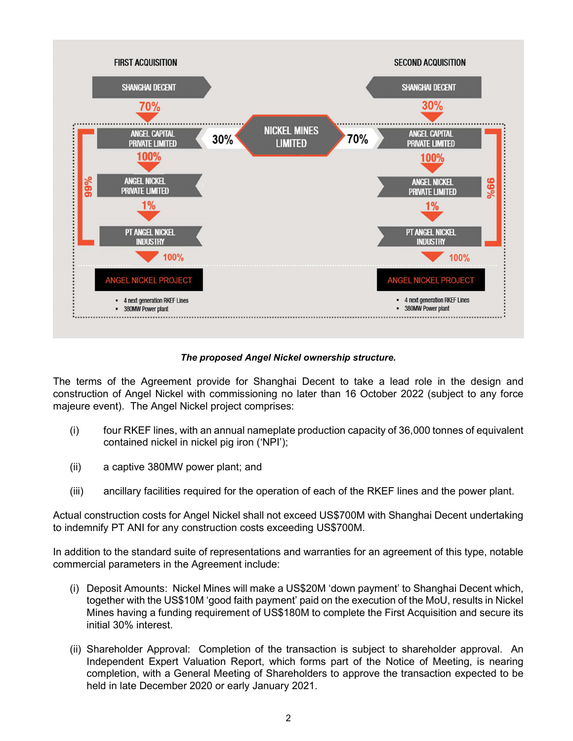

### The proposed Angel Nickel ownership structure.

The terms of the Agreement provide for Shanghai Decent to take a lead role in the design and construction of Angel Nickel with commissioning no later than 16 October 2022 (subject to any force majeure event). The Angel Nickel project comprises:

- (i) four RKEF lines, with an annual nameplate production capacity of 36,000 tonnes of equivalent contained nickel in nickel pig iron ('NPI');
- (ii) a captive 380MW power plant; and
- (iii) ancillary facilities required for the operation of each of the RKEF lines and the power plant.

Actual construction costs for Angel Nickel shall not exceed US\$700M with Shanghai Decent undertaking to indemnify PT ANI for any construction costs exceeding US\$700M.

In addition to the standard suite of representations and warranties for an agreement of this type, notable commercial parameters in the Agreement include:

- (i) Deposit Amounts: Nickel Mines will make a US\$20M 'down payment' to Shanghai Decent which, together with the US\$10M 'good faith payment' paid on the execution of the MoU, results in Nickel Mines having a funding requirement of US\$180M to complete the First Acquisition and secure its initial 30% interest.
- (ii) Shareholder Approval: Completion of the transaction is subject to shareholder approval. An Independent Expert Valuation Report, which forms part of the Notice of Meeting, is nearing completion, with a General Meeting of Shareholders to approve the transaction expected to be held in late December 2020 or early January 2021.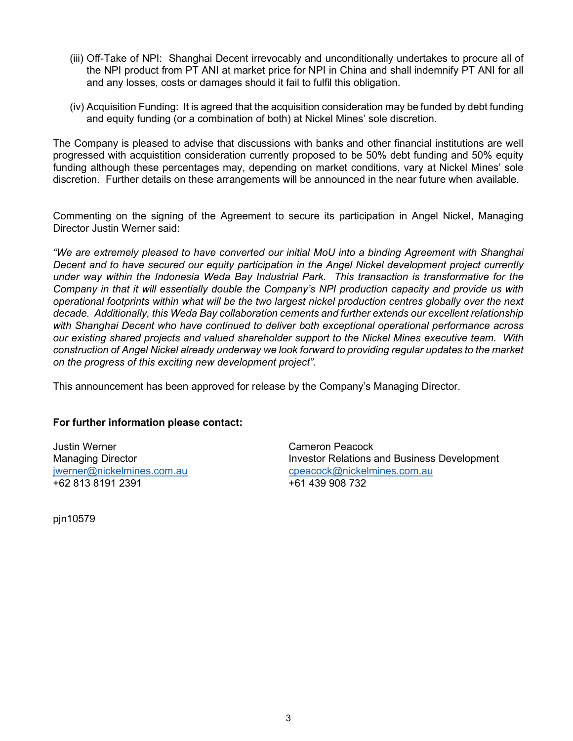- (iii) Off-Take of NPI: Shanghai Decent irrevocably and unconditionally undertakes to procure all of the NPI product from PT ANI at market price for NPI in China and shall indemnify PT ANI for all and any losses, costs or damages should it fail to fulfil this obligation.
- (iv) Acquisition Funding: It is agreed that the acquisition consideration may be funded by debt funding and equity funding (or a combination of both) at Nickel Mines' sole discretion.

The Company is pleased to advise that discussions with banks and other financial institutions are well progressed with acquistition consideration currently proposed to be 50% debt funding and 50% equity funding although these percentages may, depending on market conditions, vary at Nickel Mines' sole discretion. Further details on these arrangements will be announced in the near future when available.

Commenting on the signing of the Agreement to secure its participation in Angel Nickel, Managing Director Justin Werner said:

"We are extremely pleased to have converted our initial MoU into a binding Agreement with Shanghai Decent and to have secured our equity participation in the Angel Nickel development project currently under way within the Indonesia Weda Bay Industrial Park. This transaction is transformative for the Company in that it will essentially double the Company's NPI production capacity and provide us with operational footprints within what will be the two largest nickel production centres globally over the next decade. Additionally, this Weda Bay collaboration cements and further extends our excellent relationship with Shanghai Decent who have continued to deliver both exceptional operational performance across our existing shared projects and valued shareholder support to the Nickel Mines executive team. With construction of Angel Nickel already underway we look forward to providing regular updates to the market on the progress of this exciting new development project".

This announcement has been approved for release by the Company's Managing Director.

#### For further information please contact:

Justin Werner Cameron Peacock +62 813 8191 2391 +61 439 908 732

Managing Director **Investor Relations and Business Development** jwerner@nickelmines.com.au cpeacock@nickelmines.com.au

pjn10579